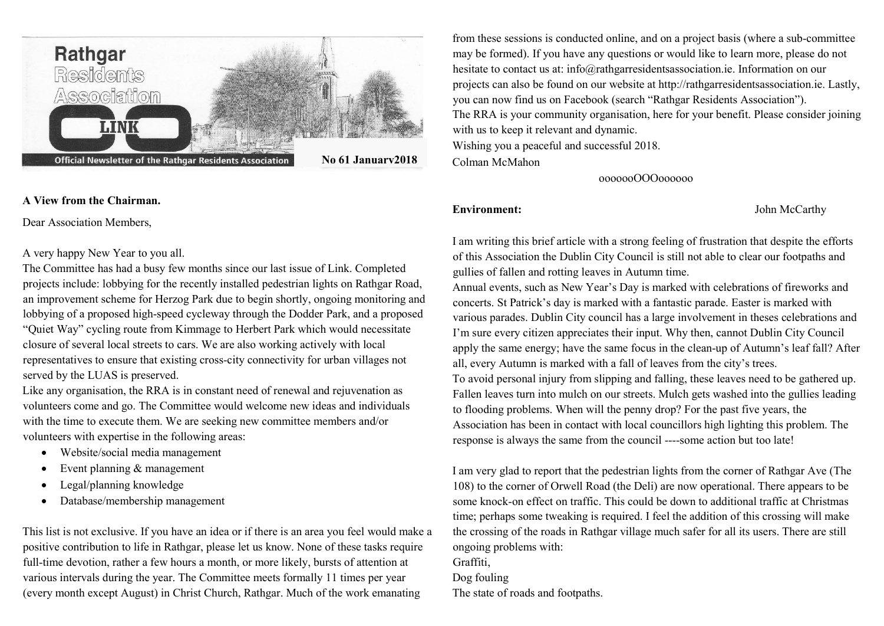

#### A View from the Chairman.

Dear Association Members,

A very happy New Year to you all.

The Committee has had a busy few months since our last issue of Link. Completed projects include: lobbying for the recently installed pedestrian lights on Rathgar Road, an improvement scheme for Herzog Park due to begin shortly, ongoing monitoring and lobbying of a proposed high-speed cycleway through the Dodder Park, and a proposed "Quiet Way" cycling route from Kimmage to Herbert Park which would necessitate closure of several local streets to cars. We are also working actively with local representatives to ensure that existing cross-city connectivity for urban villages not served by the LUAS is preserved.

Like any organisation, the RRA is in constant need of renewal and rejuvenation as volunteers come and go. The Committee would welcome new ideas and individuals with the time to execute them. We are seeking new committee members and/or volunteers with expertise in the following areas:

- Website/social media management
- Event planning & management
- Legal/planning knowledge
- Database/membership management

This list is not exclusive. If you have an idea or if there is an area you feel would make a positive contribution to life in Rathgar, please let us know. None of these tasks require full-time devotion, rather a few hours a month, or more likely, bursts of attention at various intervals during the year. The Committee meets formally 11 times per year (every month except August) in Christ Church, Rathgar. Much of the work emanating

from these sessions is conducted online, and on a project basis (where a sub-committee may be formed). If you have any questions or would like to learn more, please do not hesitate to contact us at: info@rathgarresidentsassociation.ie. Information on our projects can also be found on our website at http://rathgarresidentsassociation.ie. Lastly, you can now find us on Facebook (search "Rathgar Residents Association"). The RRA is your community organisation, here for your benefit. Please consider joining with us to keep it relevant and dynamic. Wishing you a peaceful and successful 2018. Colman McMahon

ooooooOOOoooooo

Environment: John McCarthy

I am writing this brief article with a strong feeling of frustration that despite the efforts of this Association the Dublin City Council is still not able to clear our footpaths and gullies of fallen and rotting leaves in Autumn time.

Annual events, such as New Year's Day is marked with celebrations of fireworks and concerts. St Patrick's day is marked with a fantastic parade. Easter is marked with various parades. Dublin City council has a large involvement in theses celebrations and I'm sure every citizen appreciates their input. Why then, cannot Dublin City Council apply the same energy; have the same focus in the clean-up of Autumn's leaf fall? After all, every Autumn is marked with a fall of leaves from the city's trees. To avoid personal injury from slipping and falling, these leaves need to be gathered up. Fallen leaves turn into mulch on our streets. Mulch gets washed into the gullies leading to flooding problems. When will the penny drop? For the past five years, the Association has been in contact with local councillors high lighting this problem. The response is always the same from the council ----some action but too late!

I am very glad to report that the pedestrian lights from the corner of Rathgar Ave (The 108) to the corner of Orwell Road (the Deli) are now operational. There appears to be some knock-on effect on traffic. This could be down to additional traffic at Christmas time; perhaps some tweaking is required. I feel the addition of this crossing will make the crossing of the roads in Rathgar village much safer for all its users. There are still ongoing problems with: Graffiti, Dog fouling

The state of roads and footpaths.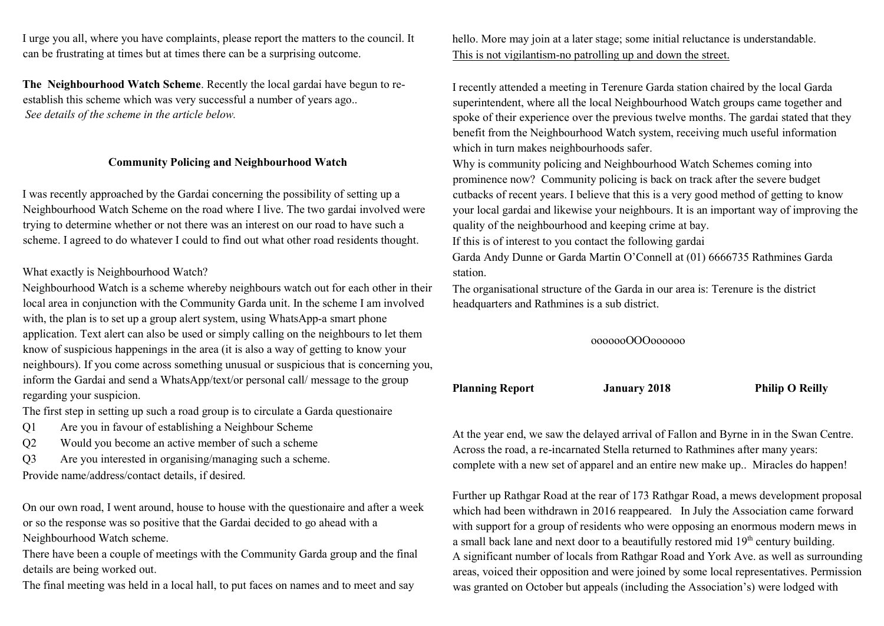I urge you all, where you have complaints, please report the matters to the council. It can be frustrating at times but at times there can be a surprising outcome.

The Neighbourhood Watch Scheme. Recently the local gardai have begun to reestablish this scheme which was very successful a number of years ago.. See details of the scheme in the article below.

#### Community Policing and Neighbourhood Watch

I was recently approached by the Gardai concerning the possibility of setting up a Neighbourhood Watch Scheme on the road where I live. The two gardai involved were trying to determine whether or not there was an interest on our road to have such a scheme. I agreed to do whatever I could to find out what other road residents thought.

#### What exactly is Neighbourhood Watch?

Neighbourhood Watch is a scheme whereby neighbours watch out for each other in their local area in conjunction with the Community Garda unit. In the scheme I am involved with, the plan is to set up a group alert system, using WhatsApp-a smart phone application. Text alert can also be used or simply calling on the neighbours to let them know of suspicious happenings in the area (it is also a way of getting to know your neighbours). If you come across something unusual or suspicious that is concerning you, inform the Gardai and send a WhatsApp/text/or personal call/ message to the group regarding your suspicion.

The first step in setting up such a road group is to circulate a Garda questionaire

- Q1 Are you in favour of establishing a Neighbour Scheme
- Q2 Would you become an active member of such a scheme
- Q3 Are you interested in organising/managing such a scheme. Provide name/address/contact details, if desired.

On our own road, I went around, house to house with the questionaire and after a week or so the response was so positive that the Gardai decided to go ahead with a Neighbourhood Watch scheme.

There have been a couple of meetings with the Community Garda group and the final details are being worked out.

The final meeting was held in a local hall, to put faces on names and to meet and say

hello. More may join at a later stage; some initial reluctance is understandable. This is not vigilantism-no patrolling up and down the street.

I recently attended a meeting in Terenure Garda station chaired by the local Garda superintendent, where all the local Neighbourhood Watch groups came together and spoke of their experience over the previous twelve months. The gardai stated that they benefit from the Neighbourhood Watch system, receiving much useful information which in turn makes neighbourhoods safer.

Why is community policing and Neighbourhood Watch Schemes coming into prominence now? Community policing is back on track after the severe budget cutbacks of recent years. I believe that this is a very good method of getting to know your local gardai and likewise your neighbours. It is an important way of improving the quality of the neighbourhood and keeping crime at bay.

If this is of interest to you contact the following gardai

Garda Andy Dunne or Garda Martin O'Connell at (01) 6666735 Rathmines Garda station.

The organisational structure of the Garda in our area is: Terenure is the district headquarters and Rathmines is a sub district.

#### ooooooOOOoooooo

Planning Report January 2018 Philip O Reilly

At the year end, we saw the delayed arrival of Fallon and Byrne in in the Swan Centre. Across the road, a re-incarnated Stella returned to Rathmines after many years: complete with a new set of apparel and an entire new make up.. Miracles do happen!

Further up Rathgar Road at the rear of 173 Rathgar Road, a mews development proposal which had been withdrawn in 2016 reappeared. In July the Association came forward with support for a group of residents who were opposing an enormous modern mews in a small back lane and next door to a beautifully restored mid  $19<sup>th</sup>$  century building. A significant number of locals from Rathgar Road and York Ave. as well as surrounding areas, voiced their opposition and were joined by some local representatives. Permission was granted on October but appeals (including the Association's) were lodged with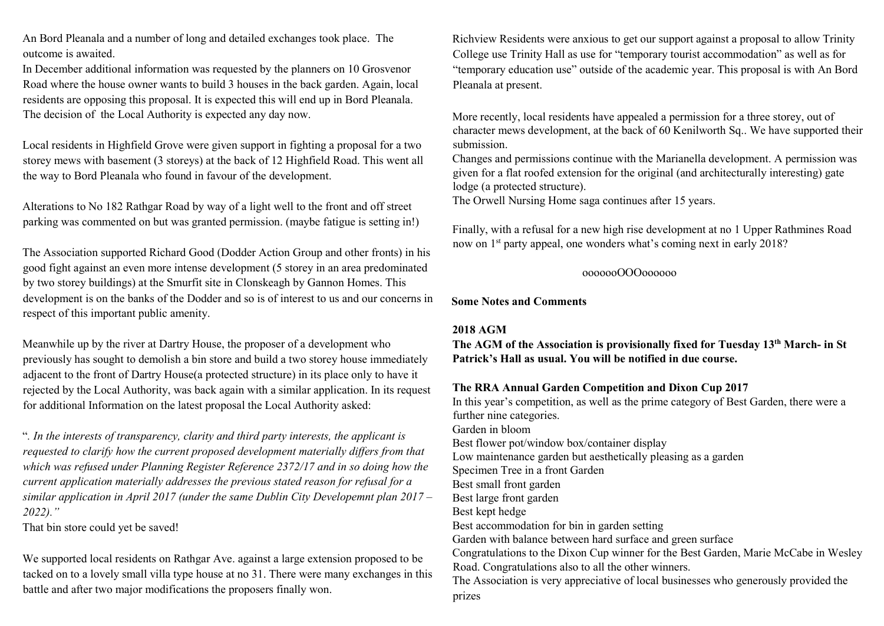An Bord Pleanala and a number of long and detailed exchanges took place. The outcome is awaited.

In December additional information was requested by the planners on 10 Grosvenor Road where the house owner wants to build 3 houses in the back garden. Again, local residents are opposing this proposal. It is expected this will end up in Bord Pleanala. The decision of the Local Authority is expected any day now.

Local residents in Highfield Grove were given support in fighting a proposal for a two storey mews with basement (3 storeys) at the back of 12 Highfield Road. This went all the way to Bord Pleanala who found in favour of the development.

Alterations to No 182 Rathgar Road by way of a light well to the front and off street parking was commented on but was granted permission. (maybe fatigue is setting in!)

The Association supported Richard Good (Dodder Action Group and other fronts) in his good fight against an even more intense development (5 storey in an area predominated by two storey buildings) at the Smurfit site in Clonskeagh by Gannon Homes. This development is on the banks of the Dodder and so is of interest to us and our concerns in respect of this important public amenity.

Meanwhile up by the river at Dartry House, the proposer of a development who previously has sought to demolish a bin store and build a two storey house immediately adjacent to the front of Dartry House(a protected structure) in its place only to have it rejected by the Local Authority, was back again with a similar application. In its request for additional Information on the latest proposal the Local Authority asked:

". In the interests of transparency, clarity and third party interests, the applicant is requested to clarify how the current proposed development materially differs from that which was refused under Planning Register Reference 2372/17 and in so doing how the current application materially addresses the previous stated reason for refusal for a similar application in April 2017 (under the same Dublin City Developemnt plan  $2017 -$ 2022)."

That bin store could yet be saved!

We supported local residents on Rathgar Ave. against a large extension proposed to be tacked on to a lovely small villa type house at no 31. There were many exchanges in this battle and after two major modifications the proposers finally won.

Richview Residents were anxious to get our support against a proposal to allow Trinity College use Trinity Hall as use for "temporary tourist accommodation" as well as for "temporary education use" outside of the academic year. This proposal is with An Bord Pleanala at present.

More recently, local residents have appealed a permission for a three storey, out of character mews development, at the back of 60 Kenilworth Sq.. We have supported their submission.

Changes and permissions continue with the Marianella development. A permission was given for a flat roofed extension for the original (and architecturally interesting) gate lodge (a protected structure).

The Orwell Nursing Home saga continues after 15 years.

Finally, with a refusal for a new high rise development at no 1 Upper Rathmines Road now on 1<sup>st</sup> party appeal, one wonders what's coming next in early 2018?

#### ooooooOOOoooooo

Some Notes and Comments

#### 2018 AGM

The AGM of the Association is provisionally fixed for Tuesday 13th March- in St Patrick's Hall as usual. You will be notified in due course.

## The RRA Annual Garden Competition and Dixon Cup 2017

In this year's competition, as well as the prime category of Best Garden, there were a further nine categories. Garden in bloom Best flower pot/window box/container display Low maintenance garden but aesthetically pleasing as a garden Specimen Tree in a front Garden Best small front garden Best large front garden Best kept hedge Best accommodation for bin in garden setting Garden with balance between hard surface and green surface Congratulations to the Dixon Cup winner for the Best Garden, Marie McCabe in Wesley Road. Congratulations also to all the other winners. The Association is very appreciative of local businesses who generously provided the prizes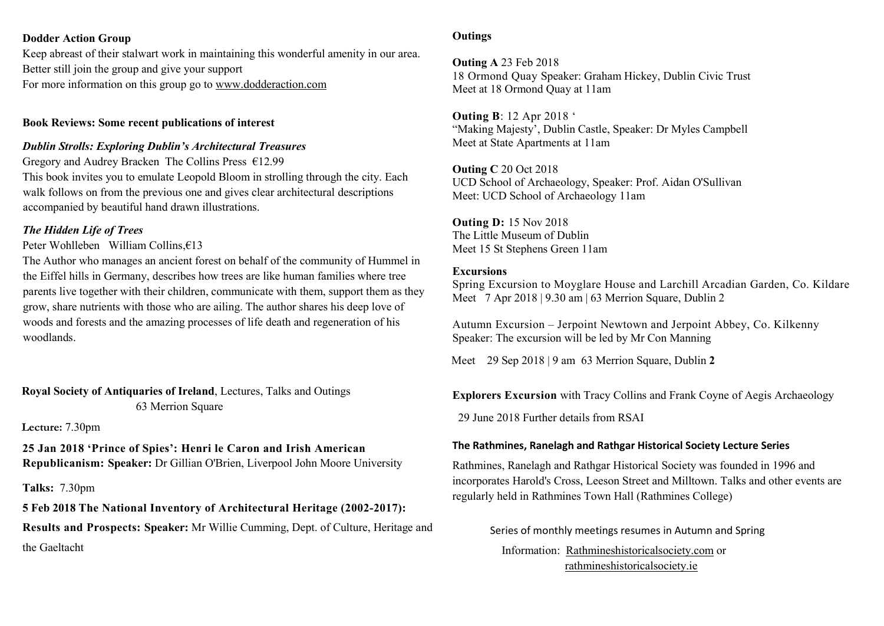#### Dodder Action Group

Keep abreast of their stalwart work in maintaining this wonderful amenity in our area. Better still join the group and give your support For more information on this group go to www.dodderaction.com

#### Book Reviews: Some recent publications of interest

#### Dublin Strolls: Exploring Dublin's Architectural Treasures

Gregory and Audrey Bracken The Collins Press €12.99 This book invites you to emulate Leopold Bloom in strolling through the city. Each walk follows on from the previous one and gives clear architectural descriptions accompanied by beautiful hand drawn illustrations.

### The Hidden Life of Trees

#### Peter Wohlleben William Collins,€13

The Author who manages an ancient forest on behalf of the community of Hummel in the Eiffel hills in Germany, describes how trees are like human families where tree parents live together with their children, communicate with them, support them as they grow, share nutrients with those who are ailing. The author shares his deep love of woods and forests and the amazing processes of life death and regeneration of his woodlands.

Royal Society of Antiquaries of Ireland, Lectures, Talks and Outings 63 Merrion Square

#### Lecture: 7.30pm

25 Jan 2018 'Prince of Spies': Henri le Caron and Irish American Republicanism: Speaker: Dr Gillian O'Brien, Liverpool John Moore University

#### Talks: 7.30pm

5 Feb 2018 The National Inventory of Architectural Heritage (2002-2017): Results and Prospects: Speaker: Mr Willie Cumming, Dept. of Culture, Heritage and the Gaeltacht

#### **Outings**

Outing A 23 Feb 2018 18 Ormond Quay Speaker: Graham Hickey, Dublin Civic Trust Meet at 18 Ormond Quay at 11am

Outing B: 12 Apr 2018 ' "Making Majesty', Dublin Castle, Speaker: Dr Myles Campbell Meet at State Apartments at 11am

Outing C 20 Oct 2018 UCD School of Archaeology, Speaker: Prof. Aidan O'Sullivan Meet: UCD School of Archaeology 11am

Outing D: 15 Nov 2018 The Little Museum of Dublin Meet 15 St Stephens Green 11am

#### Excursions

Spring Excursion to Moyglare House and Larchill Arcadian Garden, Co. Kildare Meet 7 Apr 2018 | 9.30 am | 63 Merrion Square, Dublin 2

Autumn Excursion – Jerpoint Newtown and Jerpoint Abbey, Co. Kilkenny Speaker: The excursion will be led by Mr Con Manning

Meet 29 Sep 2018 | 9 am 63 Merrion Square, Dublin 2

Explorers Excursion with Tracy Collins and Frank Coyne of Aegis Archaeology

29 June 2018 Further details from RSAI

#### The Rathmines, Ranelagh and Rathgar Historical Society Lecture Series

Rathmines, Ranelagh and Rathgar Historical Society was founded in 1996 and incorporates Harold's Cross, Leeson Street and Milltown. Talks and other events are regularly held in Rathmines Town Hall (Rathmines College)

Series of monthly meetings resumes in Autumn and Spring Information: Rathmineshistoricalsociety.com or rathmineshistoricalsociety.ie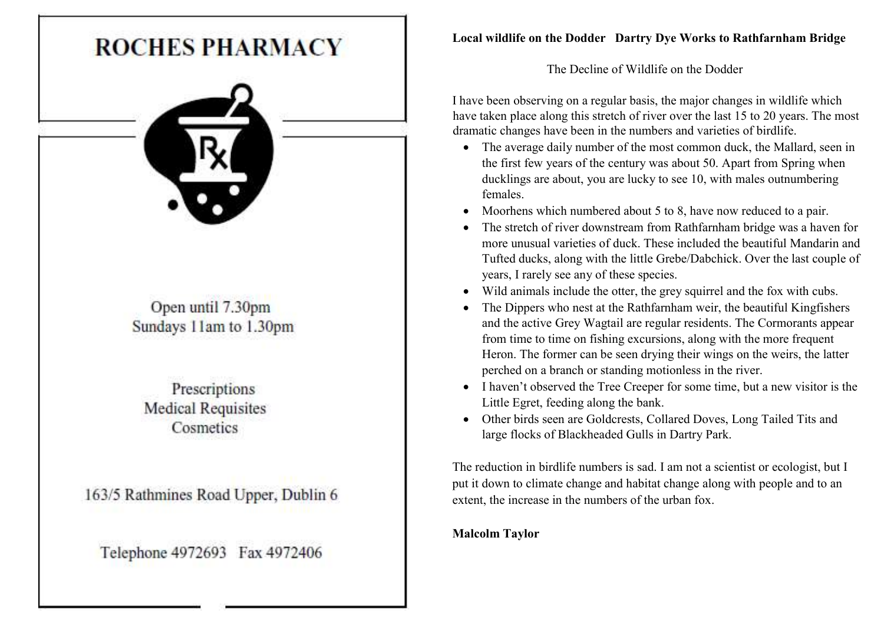

# Local wildlife on the Dodder Dartry Dye Works to Rathfarnham Bridge

The Decline of Wildlife on the Dodder

I have been observing on a regular basis, the major changes in wildlife which have taken place along this stretch of river over the last 15 to 20 years. The most dramatic changes have been in the numbers and varieties of birdlife.

- The average daily number of the most common duck, the Mallard, seen in the first few years of the century was about 50. Apart from Spring when ducklings are about, you are lucky to see 10, with males outnumbering females.
- Moorhens which numbered about 5 to 8, have now reduced to a pair.
- The stretch of river downstream from Rathfarnham bridge was a haven for more unusual varieties of duck. These included the beautiful Mandarin and Tufted ducks, along with the little Grebe/Dabchick. Over the last couple of years, I rarely see any of these species.
- Wild animals include the otter, the grey squirrel and the fox with cubs.
- The Dippers who nest at the Rathfarnham weir, the beautiful Kingfishers and the active Grey Wagtail are regular residents. The Cormorants appear from time to time on fishing excursions, along with the more frequent Heron. The former can be seen drying their wings on the weirs, the latter perched on a branch or standing motionless in the river.
- I haven't observed the Tree Creeper for some time, but a new visitor is the Little Egret, feeding along the bank.
- Other birds seen are Goldcrests, Collared Doves, Long Tailed Tits and large flocks of Blackheaded Gulls in Dartry Park.

The reduction in birdlife numbers is sad. I am not a scientist or ecologist, but I put it down to climate change and habitat change along with people and to an extent, the increase in the numbers of the urban fox.

# Malcolm Taylor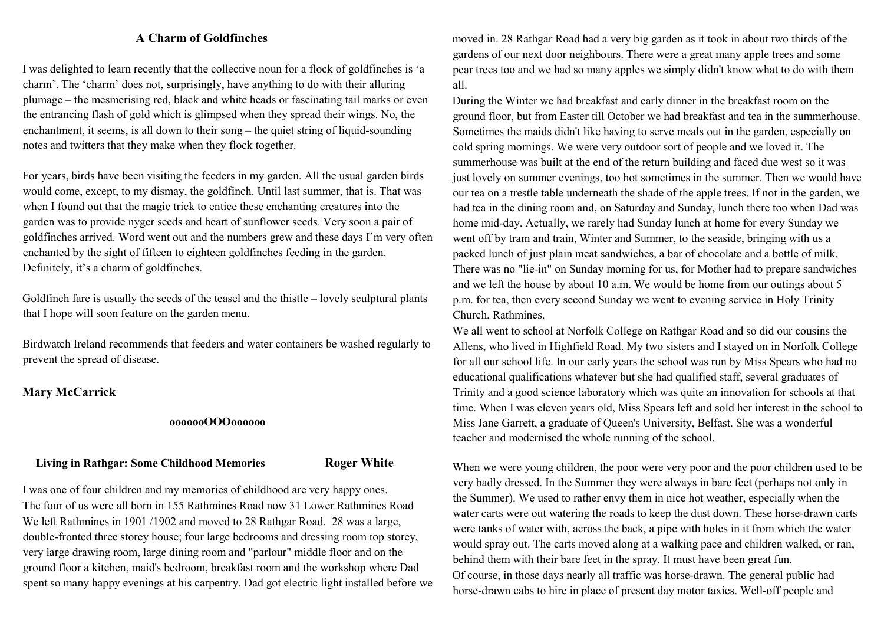#### A Charm of Goldfinches

I was delighted to learn recently that the collective noun for a flock of goldfinches is 'a charm'. The 'charm' does not, surprisingly, have anything to do with their alluring plumage – the mesmerising red, black and white heads or fascinating tail marks or even the entrancing flash of gold which is glimpsed when they spread their wings. No, the enchantment, it seems, is all down to their song – the quiet string of liquid-sounding notes and twitters that they make when they flock together.

For years, birds have been visiting the feeders in my garden. All the usual garden birds would come, except, to my dismay, the goldfinch. Until last summer, that is. That was when I found out that the magic trick to entice these enchanting creatures into the garden was to provide nyger seeds and heart of sunflower seeds. Very soon a pair of goldfinches arrived. Word went out and the numbers grew and these days I'm very often enchanted by the sight of fifteen to eighteen goldfinches feeding in the garden. Definitely, it's a charm of goldfinches.

Goldfinch fare is usually the seeds of the teasel and the thistle – lovely sculptural plants that I hope will soon feature on the garden menu.

Birdwatch Ireland recommends that feeders and water containers be washed regularly to prevent the spread of disease.

#### Mary McCarrick

#### ooooooOOOoooooo

#### Living in Rathgar: Some Childhood Memories Roger White

I was one of four children and my memories of childhood are very happy ones. The four of us were all born in 155 Rathmines Road now 31 Lower Rathmines Road We left Rathmines in 1901 /1902 and moved to 28 Rathgar Road. 28 was a large, double-fronted three storey house; four large bedrooms and dressing room top storey, very large drawing room, large dining room and "parlour" middle floor and on the ground floor a kitchen, maid's bedroom, breakfast room and the workshop where Dad spent so many happy evenings at his carpentry. Dad got electric light installed before we moved in. 28 Rathgar Road had a very big garden as it took in about two thirds of the gardens of our next door neighbours. There were a great many apple trees and some pear trees too and we had so many apples we simply didn't know what to do with them all.

During the Winter we had breakfast and early dinner in the breakfast room on the ground floor, but from Easter till October we had breakfast and tea in the summerhouse. Sometimes the maids didn't like having to serve meals out in the garden, especially on cold spring mornings. We were very outdoor sort of people and we loved it. The summerhouse was built at the end of the return building and faced due west so it was just lovely on summer evenings, too hot sometimes in the summer. Then we would have our tea on a trestle table underneath the shade of the apple trees. If not in the garden, we had tea in the dining room and, on Saturday and Sunday, lunch there too when Dad was home mid-day. Actually, we rarely had Sunday lunch at home for every Sunday we went off by tram and train, Winter and Summer, to the seaside, bringing with us a packed lunch of just plain meat sandwiches, a bar of chocolate and a bottle of milk. There was no "lie-in" on Sunday morning for us, for Mother had to prepare sandwiches and we left the house by about 10 a.m. We would be home from our outings about 5 p.m. for tea, then every second Sunday we went to evening service in Holy Trinity Church, Rathmines.

We all went to school at Norfolk College on Rathgar Road and so did our cousins the Allens, who lived in Highfield Road. My two sisters and I stayed on in Norfolk College for all our school life. In our early years the school was run by Miss Spears who had no educational qualifications whatever but she had qualified staff, several graduates of Trinity and a good science laboratory which was quite an innovation for schools at that time. When I was eleven years old, Miss Spears left and sold her interest in the school to Miss Jane Garrett, a graduate of Queen's University, Belfast. She was a wonderful teacher and modernised the whole running of the school.

When we were young children, the poor were very poor and the poor children used to be very badly dressed. In the Summer they were always in bare feet (perhaps not only in the Summer). We used to rather envy them in nice hot weather, especially when the water carts were out watering the roads to keep the dust down. These horse-drawn carts were tanks of water with, across the back, a pipe with holes in it from which the water would spray out. The carts moved along at a walking pace and children walked, or ran, behind them with their bare feet in the spray. It must have been great fun. Of course, in those days nearly all traffic was horse-drawn. The general public had horse-drawn cabs to hire in place of present day motor taxies. Well-off people and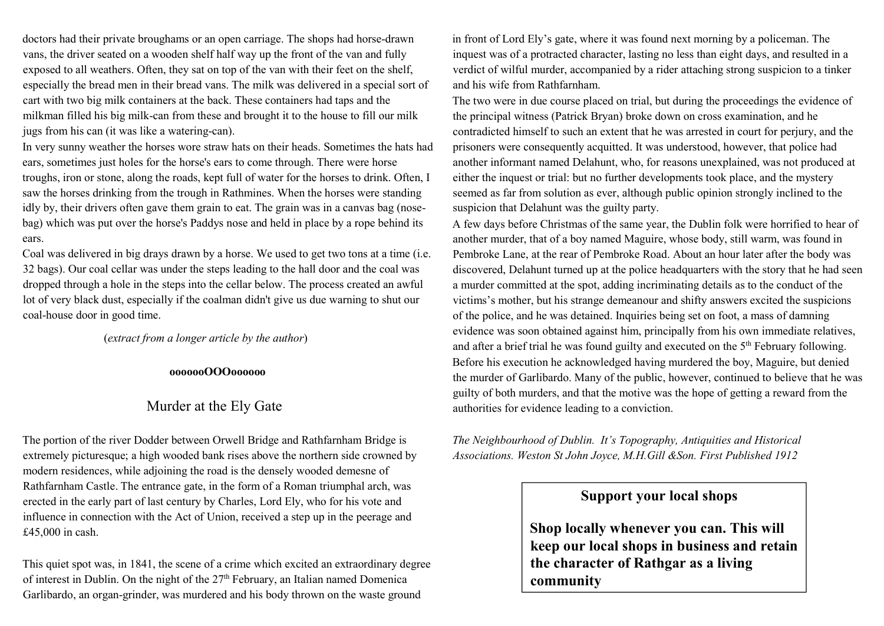doctors had their private broughams or an open carriage. The shops had horse-drawn vans, the driver seated on a wooden shelf half way up the front of the van and fully exposed to all weathers. Often, they sat on top of the van with their feet on the shelf, especially the bread men in their bread vans. The milk was delivered in a special sort of cart with two big milk containers at the back. These containers had taps and the milkman filled his big milk-can from these and brought it to the house to fill our milk jugs from his can (it was like a watering-can).

In very sunny weather the horses wore straw hats on their heads. Sometimes the hats had ears, sometimes just holes for the horse's ears to come through. There were horse troughs, iron or stone, along the roads, kept full of water for the horses to drink. Often, I saw the horses drinking from the trough in Rathmines. When the horses were standing idly by, their drivers often gave them grain to eat. The grain was in a canvas bag (nosebag) which was put over the horse's Paddys nose and held in place by a rope behind its ears.

Coal was delivered in big drays drawn by a horse. We used to get two tons at a time (i.e. 32 bags). Our coal cellar was under the steps leading to the hall door and the coal was dropped through a hole in the steps into the cellar below. The process created an awful lot of very black dust, especially if the coalman didn't give us due warning to shut our coal-house door in good time.

(extract from a longer article by the author)

#### ooooooOOOoooooo

## Murder at the Ely Gate

The portion of the river Dodder between Orwell Bridge and Rathfarnham Bridge is extremely picturesque; a high wooded bank rises above the northern side crowned by modern residences, while adjoining the road is the densely wooded demesne of Rathfarnham Castle. The entrance gate, in the form of a Roman triumphal arch, was erected in the early part of last century by Charles, Lord Ely, who for his vote and influence in connection with the Act of Union, received a step up in the peerage and £45,000 in cash.

This quiet spot was, in 1841, the scene of a crime which excited an extraordinary degree of interest in Dublin. On the night of the  $27<sup>th</sup>$  February, an Italian named Domenica Garlibardo, an organ-grinder, was murdered and his body thrown on the waste ground

in front of Lord Ely's gate, where it was found next morning by a policeman. The inquest was of a protracted character, lasting no less than eight days, and resulted in a verdict of wilful murder, accompanied by a rider attaching strong suspicion to a tinker and his wife from Rathfarnham.

The two were in due course placed on trial, but during the proceedings the evidence of the principal witness (Patrick Bryan) broke down on cross examination, and he contradicted himself to such an extent that he was arrested in court for perjury, and the prisoners were consequently acquitted. It was understood, however, that police had another informant named Delahunt, who, for reasons unexplained, was not produced at either the inquest or trial: but no further developments took place, and the mystery seemed as far from solution as ever, although public opinion strongly inclined to the suspicion that Delahunt was the guilty party.

A few days before Christmas of the same year, the Dublin folk were horrified to hear of another murder, that of a boy named Maguire, whose body, still warm, was found in Pembroke Lane, at the rear of Pembroke Road. About an hour later after the body was discovered, Delahunt turned up at the police headquarters with the story that he had seen a murder committed at the spot, adding incriminating details as to the conduct of the victims's mother, but his strange demeanour and shifty answers excited the suspicions of the police, and he was detained. Inquiries being set on foot, a mass of damning evidence was soon obtained against him, principally from his own immediate relatives, and after a brief trial he was found guilty and executed on the 5<sup>th</sup> February following. Before his execution he acknowledged having murdered the boy, Maguire, but denied the murder of Garlibardo. Many of the public, however, continued to believe that he was guilty of both murders, and that the motive was the hope of getting a reward from the authorities for evidence leading to a conviction.

The Neighbourhood of Dublin. It's Topography, Antiquities and Historical Associations. Weston St John Joyce, M.H.Gill &Son. First Published 1912

# Support your local shops

Shop locally whenever you can. This will keep our local shops in business and retain the character of Rathgar as a living community